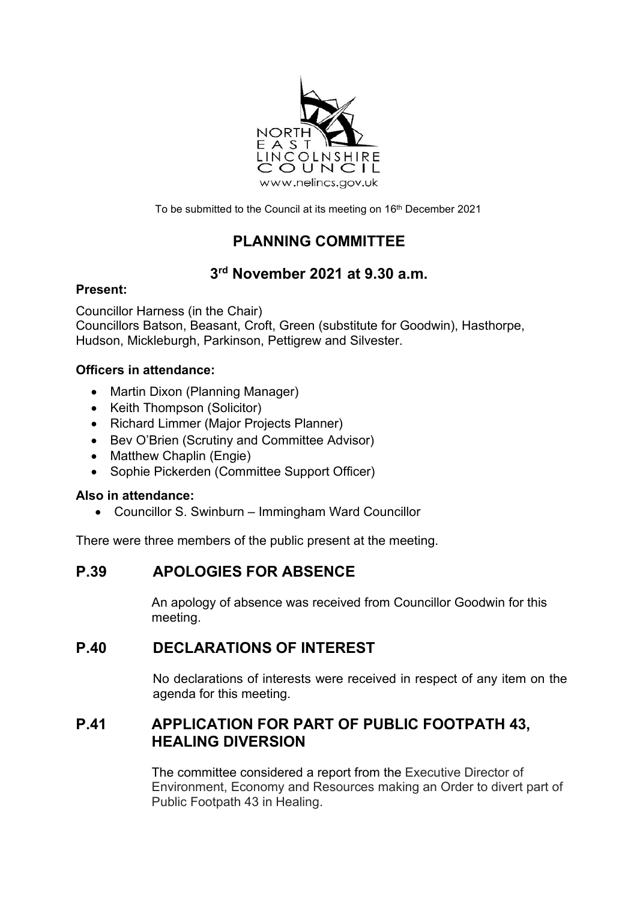

To be submitted to the Council at its meeting on 16<sup>th</sup> December 2021

# **PLANNING COMMITTEE**

# **3rd November 2021 at 9.30 a.m.**

#### **Present:**

Councillor Harness (in the Chair) Councillors Batson, Beasant, Croft, Green (substitute for Goodwin), Hasthorpe, Hudson, Mickleburgh, Parkinson, Pettigrew and Silvester.

#### **Officers in attendance:**

- Martin Dixon (Planning Manager)
- Keith Thompson (Solicitor)
- Richard Limmer (Major Projects Planner)
- Bev O'Brien (Scrutiny and Committee Advisor)
- Matthew Chaplin (Engie)
- Sophie Pickerden (Committee Support Officer)

#### **Also in attendance:**

• Councillor S. Swinburn – Immingham Ward Councillor

There were three members of the public present at the meeting.

# **P.39 APOLOGIES FOR ABSENCE**

An apology of absence was received from Councillor Goodwin for this meeting.

## **P.40 DECLARATIONS OF INTEREST**

No declarations of interests were received in respect of any item on the agenda for this meeting.

# **P.41 APPLICATION FOR PART OF PUBLIC FOOTPATH 43, HEALING DIVERSION**

The committee considered a report from the Executive Director of Environment, Economy and Resources making an Order to divert part of Public Footpath 43 in Healing.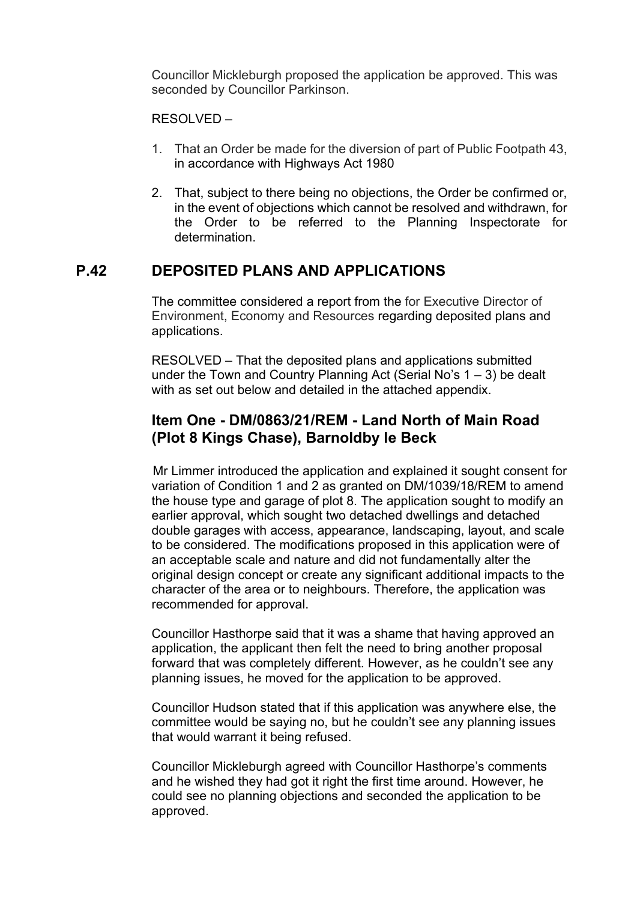Councillor Mickleburgh proposed the application be approved. This was seconded by Councillor Parkinson.

#### RESOLVED –

- 1. That an Order be made for the diversion of part of Public Footpath 43, in accordance with Highways Act 1980
- 2. That, subject to there being no objections, the Order be confirmed or, in the event of objections which cannot be resolved and withdrawn, for the Order to be referred to the Planning Inspectorate for determination.

## **P.42 DEPOSITED PLANS AND APPLICATIONS**

The committee considered a report from the for Executive Director of Environment, Economy and Resources regarding deposited plans and applications.

RESOLVED – That the deposited plans and applications submitted under the Town and Country Planning Act (Serial No's  $1 - 3$ ) be dealt with as set out below and detailed in the attached appendix.

## **Item One - DM/0863/21/REM - Land North of Main Road (Plot 8 Kings Chase), Barnoldby le Beck**

Mr Limmer introduced the application and explained it sought consent for variation of Condition 1 and 2 as granted on DM/1039/18/REM to amend the house type and garage of plot 8. The application sought to modify an earlier approval, which sought two detached dwellings and detached double garages with access, appearance, landscaping, layout, and scale to be considered. The modifications proposed in this application were of an acceptable scale and nature and did not fundamentally alter the original design concept or create any significant additional impacts to the character of the area or to neighbours. Therefore, the application was recommended for approval.

Councillor Hasthorpe said that it was a shame that having approved an application, the applicant then felt the need to bring another proposal forward that was completely different. However, as he couldn't see any planning issues, he moved for the application to be approved.

Councillor Hudson stated that if this application was anywhere else, the committee would be saying no, but he couldn't see any planning issues that would warrant it being refused.

Councillor Mickleburgh agreed with Councillor Hasthorpe's comments and he wished they had got it right the first time around. However, he could see no planning objections and seconded the application to be approved.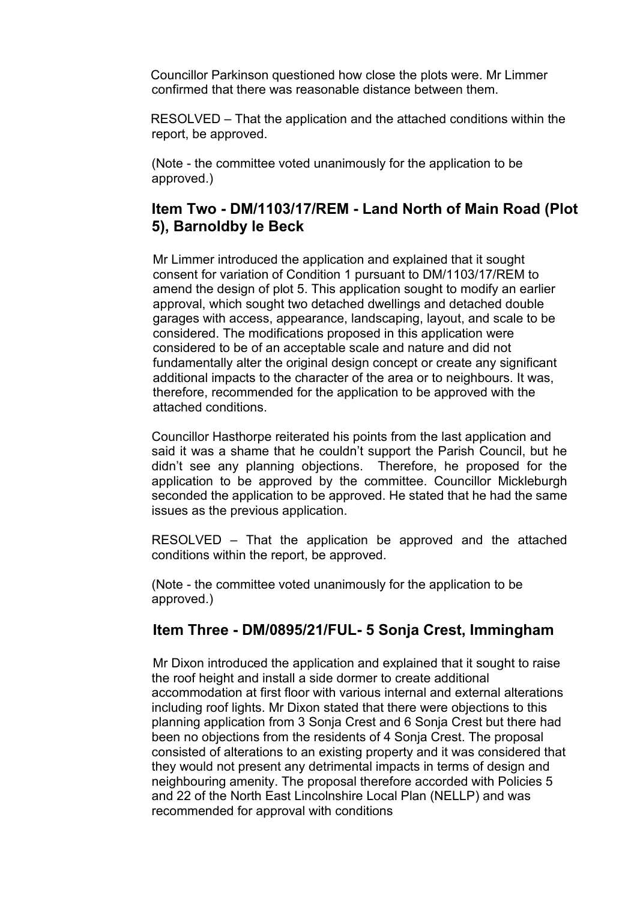Councillor Parkinson questioned how close the plots were. Mr Limmer confirmed that there was reasonable distance between them.

 RESOLVED – That the application and the attached conditions within the report, be approved.

(Note - the committee voted unanimously for the application to be approved.)

## **Item Two - DM/1103/17/REM - Land North of Main Road (Plot 5), Barnoldby le Beck**

Mr Limmer introduced the application and explained that it sought consent for variation of Condition 1 pursuant to DM/1103/17/REM to amend the design of plot 5. This application sought to modify an earlier approval, which sought two detached dwellings and detached double garages with access, appearance, landscaping, layout, and scale to be considered. The modifications proposed in this application were considered to be of an acceptable scale and nature and did not fundamentally alter the original design concept or create any significant additional impacts to the character of the area or to neighbours. It was, therefore, recommended for the application to be approved with the attached conditions.

Councillor Hasthorpe reiterated his points from the last application and said it was a shame that he couldn't support the Parish Council, but he didn't see any planning objections. Therefore, he proposed for the application to be approved by the committee. Councillor Mickleburgh seconded the application to be approved. He stated that he had the same issues as the previous application.

RESOLVED – That the application be approved and the attached conditions within the report, be approved.

(Note - the committee voted unanimously for the application to be approved.)

## **Item Three - DM/0895/21/FUL- 5 Sonja Crest, Immingham**

Mr Dixon introduced the application and explained that it sought to raise the roof height and install a side dormer to create additional accommodation at first floor with various internal and external alterations including roof lights. Mr Dixon stated that there were objections to this planning application from 3 Sonja Crest and 6 Sonja Crest but there had been no objections from the residents of 4 Sonja Crest. The proposal consisted of alterations to an existing property and it was considered that they would not present any detrimental impacts in terms of design and neighbouring amenity. The proposal therefore accorded with Policies 5 and 22 of the North East Lincolnshire Local Plan (NELLP) and was recommended for approval with conditions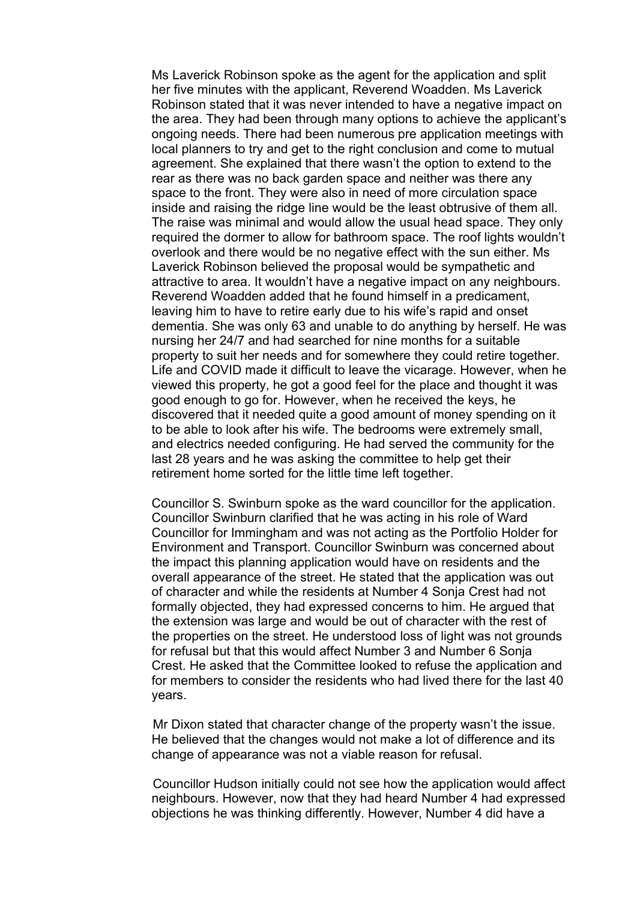Ms Laverick Robinson spoke as the agent for the application and split her five minutes with the applicant, Reverend Woadden. Ms Laverick Robinson stated that it was never intended to have a negative impact on the area. They had been through many options to achieve the applicant's ongoing needs. There had been numerous pre application meetings with local planners to try and get to the right conclusion and come to mutual agreement. She explained that there wasn't the option to extend to the rear as there was no back garden space and neither was there any space to the front. They were also in need of more circulation space inside and raising the ridge line would be the least obtrusive of them all. The raise was minimal and would allow the usual head space. They only required the dormer to allow for bathroom space. The roof lights wouldn't overlook and there would be no negative effect with the sun either. Ms Laverick Robinson believed the proposal would be sympathetic and attractive to area. It wouldn't have a negative impact on any neighbours. Reverend Woadden added that he found himself in a predicament, leaving him to have to retire early due to his wife's rapid and onset dementia. She was only 63 and unable to do anything by herself. He was nursing her 24/7 and had searched for nine months for a suitable property to suit her needs and for somewhere they could retire together. Life and COVID made it difficult to leave the vicarage. However, when he viewed this property, he got a good feel for the place and thought it was good enough to go for. However, when he received the keys, he discovered that it needed quite a good amount of money spending on it to be able to look after his wife. The bedrooms were extremely small, and electrics needed configuring. He had served the community for the last 28 years and he was asking the committee to help get their retirement home sorted for the little time left together.

Councillor S. Swinburn spoke as the ward councillor for the application. Councillor Swinburn clarified that he was acting in his role of Ward Councillor for Immingham and was not acting as the Portfolio Holder for Environment and Transport. Councillor Swinburn was concerned about the impact this planning application would have on residents and the overall appearance of the street. He stated that the application was out of character and while the residents at Number 4 Sonja Crest had not formally objected, they had expressed concerns to him. He argued that the extension was large and would be out of character with the rest of the properties on the street. He understood loss of light was not grounds for refusal but that this would affect Number 3 and Number 6 Sonja Crest. He asked that the Committee looked to refuse the application and for members to consider the residents who had lived there for the last 40 years.

Mr Dixon stated that character change of the property wasn't the issue. He believed that the changes would not make a lot of difference and its change of appearance was not a viable reason for refusal.

Councillor Hudson initially could not see how the application would affect neighbours. However, now that they had heard Number 4 had expressed objections he was thinking differently. However, Number 4 did have a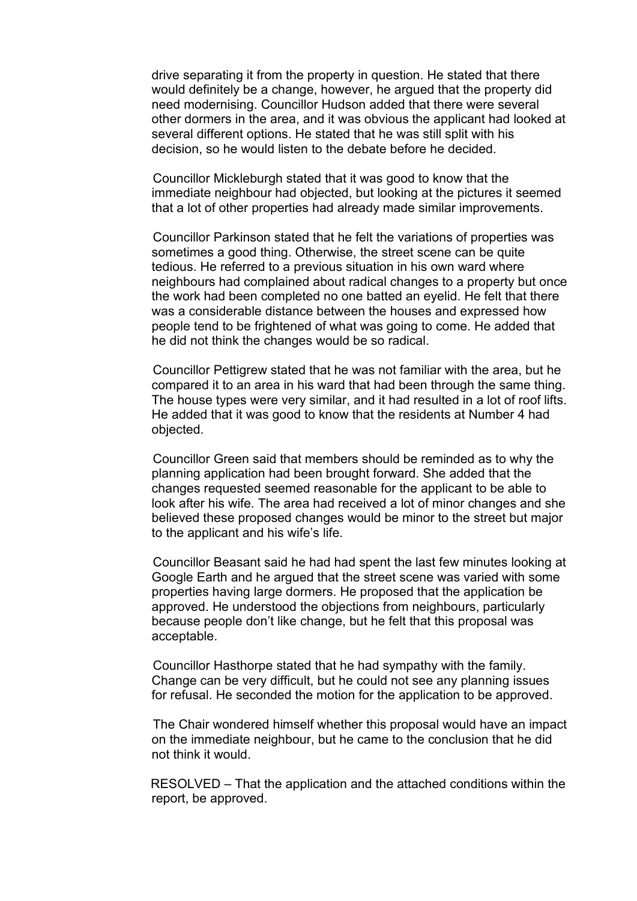drive separating it from the property in question. He stated that there would definitely be a change, however, he argued that the property did need modernising. Councillor Hudson added that there were several other dormers in the area, and it was obvious the applicant had looked at several different options. He stated that he was still split with his decision, so he would listen to the debate before he decided.

Councillor Mickleburgh stated that it was good to know that the immediate neighbour had objected, but looking at the pictures it seemed that a lot of other properties had already made similar improvements.

Councillor Parkinson stated that he felt the variations of properties was sometimes a good thing. Otherwise, the street scene can be quite tedious. He referred to a previous situation in his own ward where neighbours had complained about radical changes to a property but once the work had been completed no one batted an eyelid. He felt that there was a considerable distance between the houses and expressed how people tend to be frightened of what was going to come. He added that he did not think the changes would be so radical.

Councillor Pettigrew stated that he was not familiar with the area, but he compared it to an area in his ward that had been through the same thing. The house types were very similar, and it had resulted in a lot of roof lifts. He added that it was good to know that the residents at Number 4 had objected.

Councillor Green said that members should be reminded as to why the planning application had been brought forward. She added that the changes requested seemed reasonable for the applicant to be able to look after his wife. The area had received a lot of minor changes and she believed these proposed changes would be minor to the street but major to the applicant and his wife's life.

Councillor Beasant said he had had spent the last few minutes looking at Google Earth and he argued that the street scene was varied with some properties having large dormers. He proposed that the application be approved. He understood the objections from neighbours, particularly because people don't like change, but he felt that this proposal was acceptable.

Councillor Hasthorpe stated that he had sympathy with the family. Change can be very difficult, but he could not see any planning issues for refusal. He seconded the motion for the application to be approved.

The Chair wondered himself whether this proposal would have an impact on the immediate neighbour, but he came to the conclusion that he did not think it would.

 RESOLVED – That the application and the attached conditions within the report, be approved.